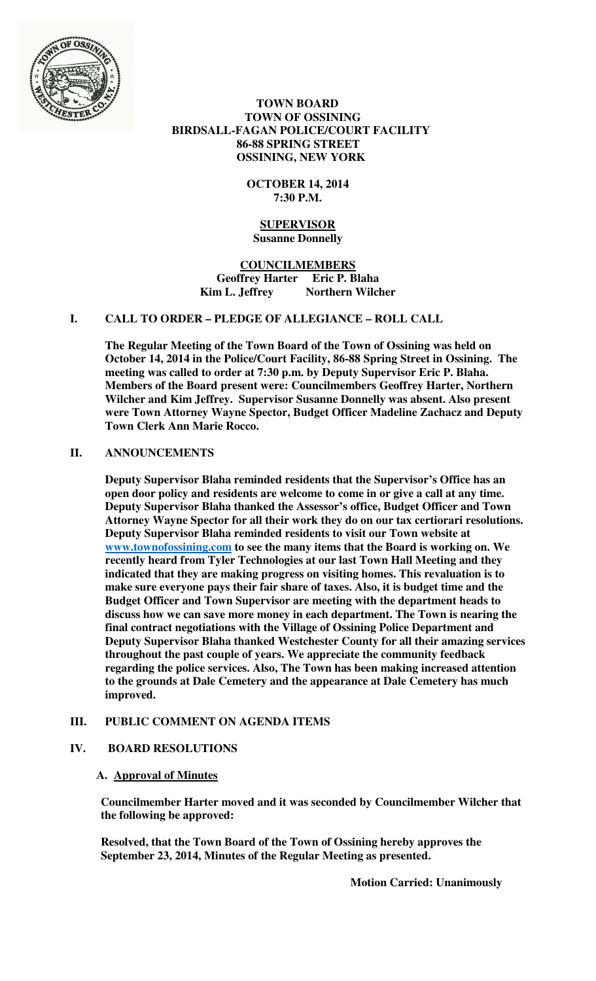

 **TOWN BOARD TOWN OF OSSINING BIRDSALL-FAGAN POLICE/COURT FACILITY 86-88 SPRING STREET OSSINING, NEW YORK** 

> **OCTOBER 14, 2014 7:30 P.M.**

## **SUPERVISOR Susanne Donnelly**

**COUNCILMEMBERS Geoffrey Harter Eric P. Blaha**  Kim L. Jeffrey Northern Wilcher

# **I. CALL TO ORDER – PLEDGE OF ALLEGIANCE – ROLL CALL**

**The Regular Meeting of the Town Board of the Town of Ossining was held on October 14, 2014 in the Police/Court Facility, 86-88 Spring Street in Ossining. The meeting was called to order at 7:30 p.m. by Deputy Supervisor Eric P. Blaha. Members of the Board present were: Councilmembers Geoffrey Harter, Northern Wilcher and Kim Jeffrey. Supervisor Susanne Donnelly was absent. Also present were Town Attorney Wayne Spector, Budget Officer Madeline Zachacz and Deputy Town Clerk Ann Marie Rocco.** 

# **II. ANNOUNCEMENTS**

**Deputy Supervisor Blaha reminded residents that the Supervisor's Office has an open door policy and residents are welcome to come in or give a call at any time. Deputy Supervisor Blaha thanked the Assessor's office, Budget Officer and Town Attorney Wayne Spector for all their work they do on our tax certiorari resolutions. Deputy Supervisor Blaha reminded residents to visit our Town website at www.townofossining.com to see the many items that the Board is working on. We recently heard from Tyler Technologies at our last Town Hall Meeting and they indicated that they are making progress on visiting homes. This revaluation is to make sure everyone pays their fair share of taxes. Also, it is budget time and the Budget Officer and Town Supervisor are meeting with the department heads to discuss how we can save more money in each department. The Town is nearing the final contract negotiations with the Village of Ossining Police Department and Deputy Supervisor Blaha thanked Westchester County for all their amazing services throughout the past couple of years. We appreciate the community feedback regarding the police services. Also, The Town has been making increased attention to the grounds at Dale Cemetery and the appearance at Dale Cemetery has much improved.** 

# **III. PUBLIC COMMENT ON AGENDA ITEMS**

# **IV. BOARD RESOLUTIONS**

# **A. Approval of Minutes**

**Councilmember Harter moved and it was seconded by Councilmember Wilcher that the following be approved:** 

**Resolved, that the Town Board of the Town of Ossining hereby approves the September 23, 2014, Minutes of the Regular Meeting as presented.** 

**Motion Carried: Unanimously**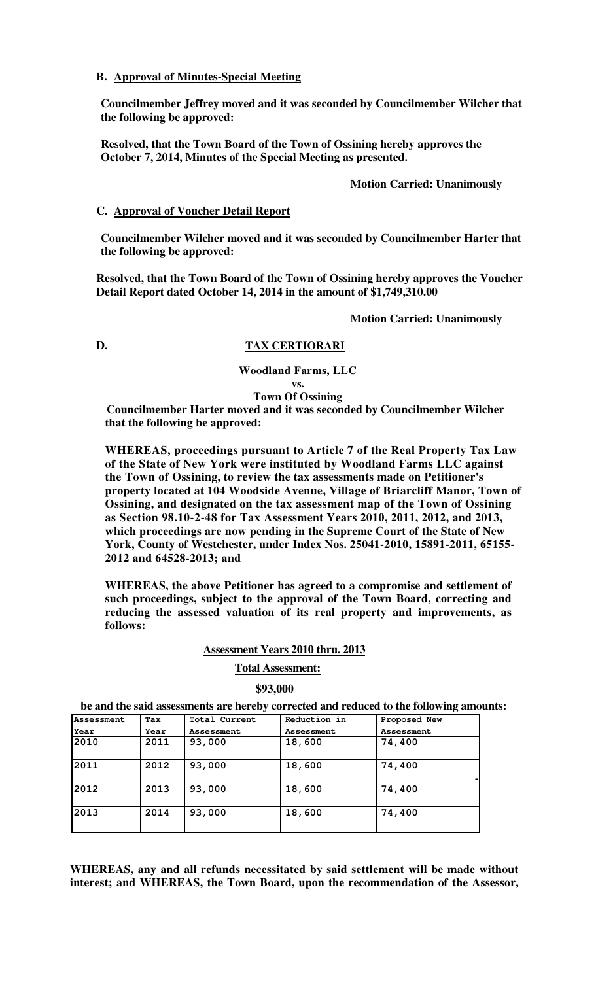## **B. Approval of Minutes-Special Meeting**

**Councilmember Jeffrey moved and it was seconded by Councilmember Wilcher that the following be approved:** 

**Resolved, that the Town Board of the Town of Ossining hereby approves the October 7, 2014, Minutes of the Special Meeting as presented.** 

## **Motion Carried: Unanimously**

## **C. Approval of Voucher Detail Report**

**Councilmember Wilcher moved and it was seconded by Councilmember Harter that the following be approved:** 

**Resolved, that the Town Board of the Town of Ossining hereby approves the Voucher Detail Report dated October 14, 2014 in the amount of \$1,749,310.00** 

**Motion Carried: Unanimously** 

## **D. TAX CERTIORARI**

**Woodland Farms, LLC** 

**vs. Town Of Ossining** 

**Councilmember Harter moved and it was seconded by Councilmember Wilcher that the following be approved:** 

**WHEREAS, proceedings pursuant to Article 7 of the Real Property Tax Law of the State of New York were instituted by Woodland Farms LLC against the Town of Ossining, to review the tax assessments made on Petitioner's property located at 104 Woodside Avenue, Village of Briarcliff Manor, Town of Ossining, and designated on the tax assessment map of the Town of Ossining as Section 98.10-2-48 for Tax Assessment Years 2010, 2011, 2012, and 2013, which proceedings are now pending in the Supreme Court of the State of New York, County of Westchester, under Index Nos. 25041-2010, 15891-2011, 65155- 2012 and 64528-2013; and** 

**WHEREAS, the above Petitioner has agreed to a compromise and settlement of such proceedings, subject to the approval of the Town Board, correcting and reducing the assessed valuation of its real property and improvements, as follows:** 

## **Assessment Years 2010 thru. 2013**

## **Total Assessment:**

#### **\$93,000**

**be and the said assessments are hereby corrected and reduced to the following amounts:**

| <b>Assessment</b> | Tax  | Total Current | Reduction in | Proposed New |
|-------------------|------|---------------|--------------|--------------|
| Year              | Year | Assessment    | Assessment   | Assessment   |
| 2010              | 2011 | 93,000        | 18,600       | 74,400       |
| 2011              | 2012 | 93,000        | 18,600       | 74,400       |
| 2012              | 2013 | 93,000        | 18,600       | 74,400       |
| 2013              | 2014 | 93,000        | 18,600       | 74,400       |

**WHEREAS, any and all refunds necessitated by said settlement will be made without interest; and WHEREAS, the Town Board, upon the recommendation of the Assessor,**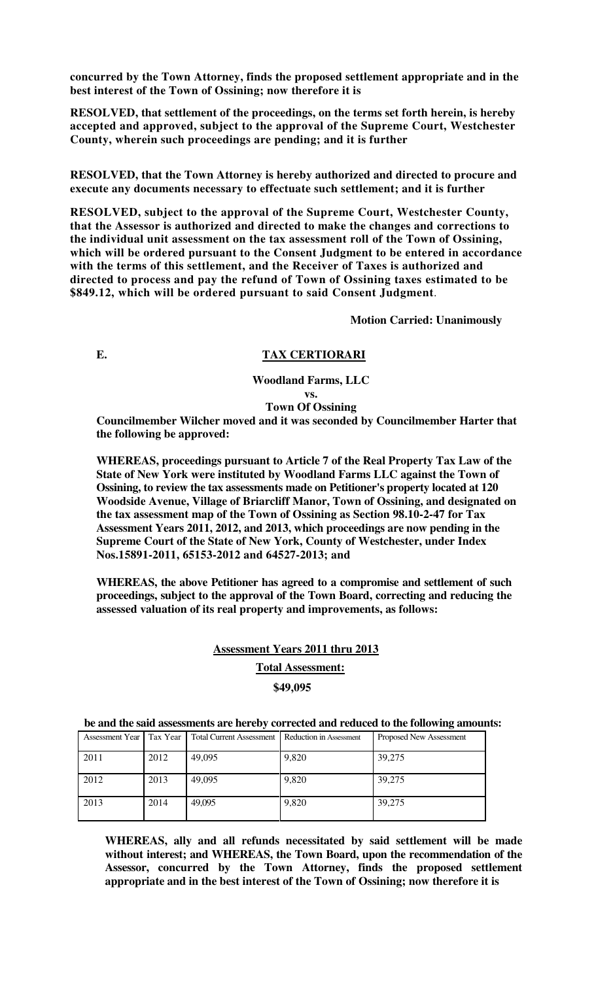**concurred by the Town Attorney, finds the proposed settlement appropriate and in the best interest of the Town of Ossining; now therefore it is**

**RESOLVED, that settlement of the proceedings, on the terms set forth herein, is hereby accepted and approved, subject to the approval of the Supreme Court, Westchester County, wherein such proceedings are pending; and it is further** 

**RESOLVED, that the Town Attorney is hereby authorized and directed to procure and execute any documents necessary to effectuate such settlement; and it is further**

**RESOLVED, subject to the approval of the Supreme Court, Westchester County, that the Assessor is authorized and directed to make the changes and corrections to the individual unit assessment on the tax assessment roll of the Town of Ossining, which will be ordered pursuant to the Consent Judgment to be entered in accordance with the terms of this settlement, and the Receiver of Taxes is authorized and directed to process and pay the refund of Town of Ossining taxes estimated to be \$849.12, which will be ordered pursuant to said Consent Judgment**.

**Motion Carried: Unanimously** 

# **E. TAX CERTIORARI**

**Woodland Farms, LLC** 

**vs.** 

**Town Of Ossining** 

**Councilmember Wilcher moved and it was seconded by Councilmember Harter that the following be approved:** 

**WHEREAS, proceedings pursuant to Article 7 of the Real Property Tax Law of the State of New York were instituted by Woodland Farms LLC against the Town of Ossining, to review the tax assessments made on Petitioner's property located at 120 Woodside Avenue, Village of Briarcliff Manor, Town of Ossining, and designated on the tax assessment map of the Town of Ossining as Section 98.10-2-47 for Tax Assessment Years 2011, 2012, and 2013, which proceedings are now pending in the Supreme Court of the State of New York, County of Westchester, under Index Nos.15891-2011, 65153-2012 and 64527-2013; and**

**WHEREAS, the above Petitioner has agreed to a compromise and settlement of such proceedings, subject to the approval of the Town Board, correcting and reducing the assessed valuation of its real property and improvements, as follows:** 

# **Assessment Years 2011 thru 2013**

**Total Assessment:** 

# **\$49,095**

| be and the said assessments are hereby corrected and reduced to the following amounts: |  |  |  |                                                                                                           |  |  |  |  |  |
|----------------------------------------------------------------------------------------|--|--|--|-----------------------------------------------------------------------------------------------------------|--|--|--|--|--|
|                                                                                        |  |  |  | Assessment Year   Tax Year   Total Current Assessment   Reduction in Assessment   Proposed New Assessment |  |  |  |  |  |

|      | $\sim$ $\sim$ $\sim$ $\sim$ $\sim$ |        |       |        |
|------|------------------------------------|--------|-------|--------|
| 2011 | 2012                               | 49,095 | 9,820 | 39,275 |
| 2012 | 2013                               | 49,095 | 9,820 | 39,275 |
| 2013 | 2014                               | 49,095 | 9,820 | 39,275 |

**WHEREAS, ally and all refunds necessitated by said settlement will be made without interest; and WHEREAS, the Town Board, upon the recommendation of the Assessor, concurred by the Town Attorney, finds the proposed settlement appropriate and in the best interest of the Town of Ossining; now therefore it is**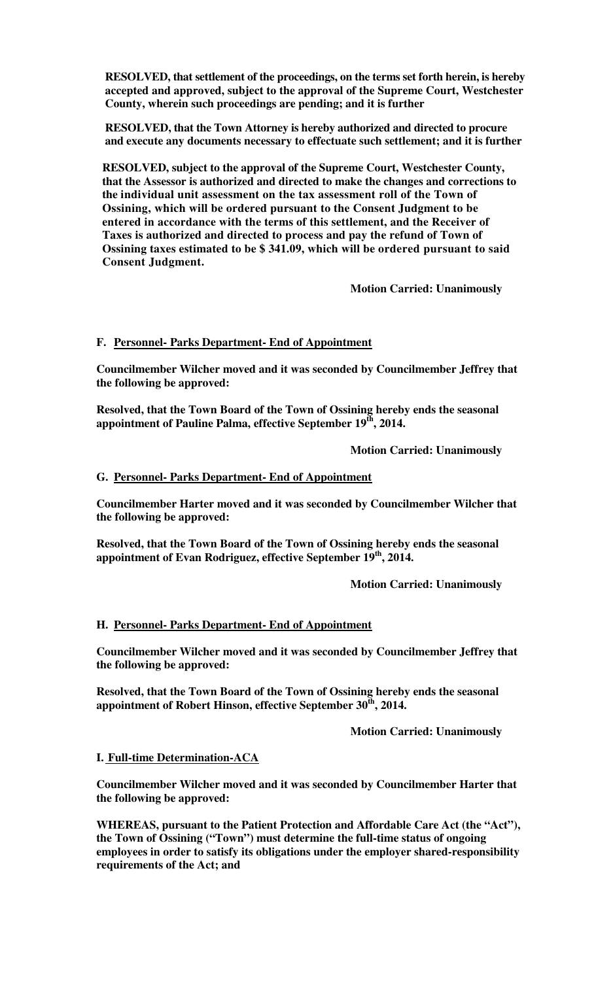**RESOLVED, that settlement of the proceedings, on the terms set forth herein, is hereby accepted and approved, subject to the approval of the Supreme Court, Westchester County, wherein such proceedings are pending; and it is further**

**RESOLVED, that the Town Attorney is hereby authorized and directed to procure and execute any documents necessary to effectuate such settlement; and it is further** 

**RESOLVED, subject to the approval of the Supreme Court, Westchester County, that the Assessor is authorized and directed to make the changes and corrections to the individual unit assessment on the tax assessment roll of the Town of Ossining, which will be ordered pursuant to the Consent Judgment to be entered in accordance with the terms of this settlement, and the Receiver of Taxes is authorized and directed to process and pay the refund of Town of Ossining taxes estimated to be \$ 341.09, which will be ordered pursuant to said Consent Judgment.** 

 **Motion Carried: Unanimously** 

# **F. Personnel- Parks Department- End of Appointment**

**Councilmember Wilcher moved and it was seconded by Councilmember Jeffrey that the following be approved:** 

**Resolved, that the Town Board of the Town of Ossining hereby ends the seasonal appointment of Pauline Palma, effective September 19 th, 2014.** 

 **Motion Carried: Unanimously** 

# **G. Personnel- Parks Department- End of Appointment**

**Councilmember Harter moved and it was seconded by Councilmember Wilcher that the following be approved:** 

**Resolved, that the Town Board of the Town of Ossining hereby ends the seasonal appointment of Evan Rodriguez, effective September 19th, 2014.** 

 **Motion Carried: Unanimously** 

## **H. Personnel- Parks Department- End of Appointment**

**Councilmember Wilcher moved and it was seconded by Councilmember Jeffrey that the following be approved:** 

**Resolved, that the Town Board of the Town of Ossining hereby ends the seasonal appointment of Robert Hinson, effective September 30 th, 2014.**

**Motion Carried: Unanimously**

## **I. Full-time Determination-ACA**

**Councilmember Wilcher moved and it was seconded by Councilmember Harter that the following be approved:** 

**WHEREAS, pursuant to the Patient Protection and Affordable Care Act (the "Act"), the Town of Ossining ("Town") must determine the full-time status of ongoing employees in order to satisfy its obligations under the employer shared-responsibility requirements of the Act; and**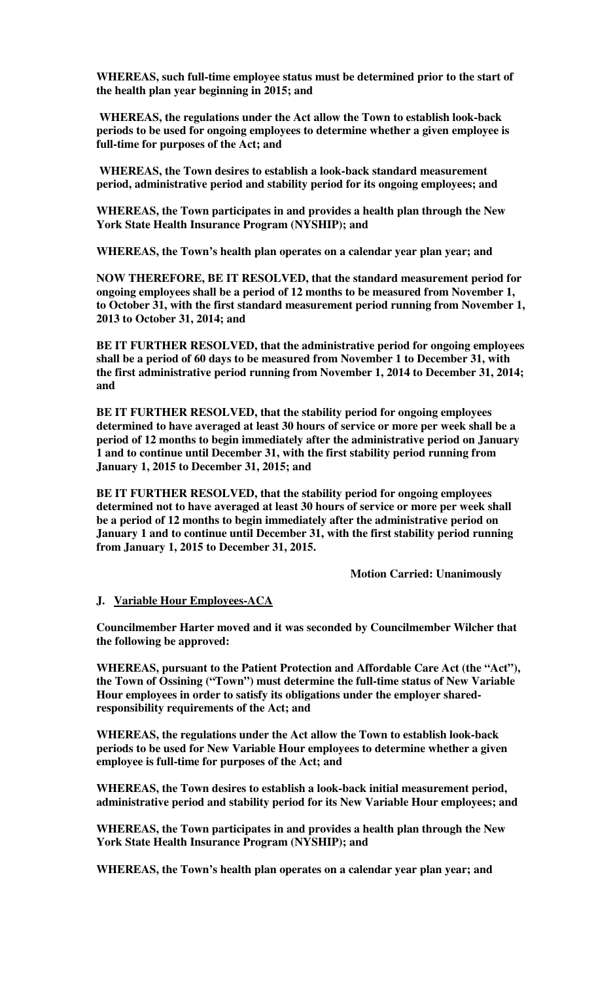**WHEREAS, such full-time employee status must be determined prior to the start of the health plan year beginning in 2015; and** 

 **WHEREAS, the regulations under the Act allow the Town to establish look-back periods to be used for ongoing employees to determine whether a given employee is full-time for purposes of the Act; and** 

 **WHEREAS, the Town desires to establish a look-back standard measurement period, administrative period and stability period for its ongoing employees; and** 

**WHEREAS, the Town participates in and provides a health plan through the New York State Health Insurance Program (NYSHIP); and** 

**WHEREAS, the Town's health plan operates on a calendar year plan year; and** 

**NOW THEREFORE, BE IT RESOLVED, that the standard measurement period for ongoing employees shall be a period of 12 months to be measured from November 1, to October 31, with the first standard measurement period running from November 1, 2013 to October 31, 2014; and** 

**BE IT FURTHER RESOLVED, that the administrative period for ongoing employees shall be a period of 60 days to be measured from November 1 to December 31, with the first administrative period running from November 1, 2014 to December 31, 2014; and** 

**BE IT FURTHER RESOLVED, that the stability period for ongoing employees determined to have averaged at least 30 hours of service or more per week shall be a period of 12 months to begin immediately after the administrative period on January 1 and to continue until December 31, with the first stability period running from January 1, 2015 to December 31, 2015; and** 

**BE IT FURTHER RESOLVED, that the stability period for ongoing employees determined not to have averaged at least 30 hours of service or more per week shall be a period of 12 months to begin immediately after the administrative period on January 1 and to continue until December 31, with the first stability period running from January 1, 2015 to December 31, 2015.** 

 **Motion Carried: Unanimously**

## **J. Variable Hour Employees-ACA**

**Councilmember Harter moved and it was seconded by Councilmember Wilcher that the following be approved:** 

**WHEREAS, pursuant to the Patient Protection and Affordable Care Act (the "Act"), the Town of Ossining ("Town") must determine the full-time status of New Variable Hour employees in order to satisfy its obligations under the employer sharedresponsibility requirements of the Act; and** 

**WHEREAS, the regulations under the Act allow the Town to establish look-back periods to be used for New Variable Hour employees to determine whether a given employee is full-time for purposes of the Act; and** 

**WHEREAS, the Town desires to establish a look-back initial measurement period, administrative period and stability period for its New Variable Hour employees; and** 

**WHEREAS, the Town participates in and provides a health plan through the New York State Health Insurance Program (NYSHIP); and** 

**WHEREAS, the Town's health plan operates on a calendar year plan year; and**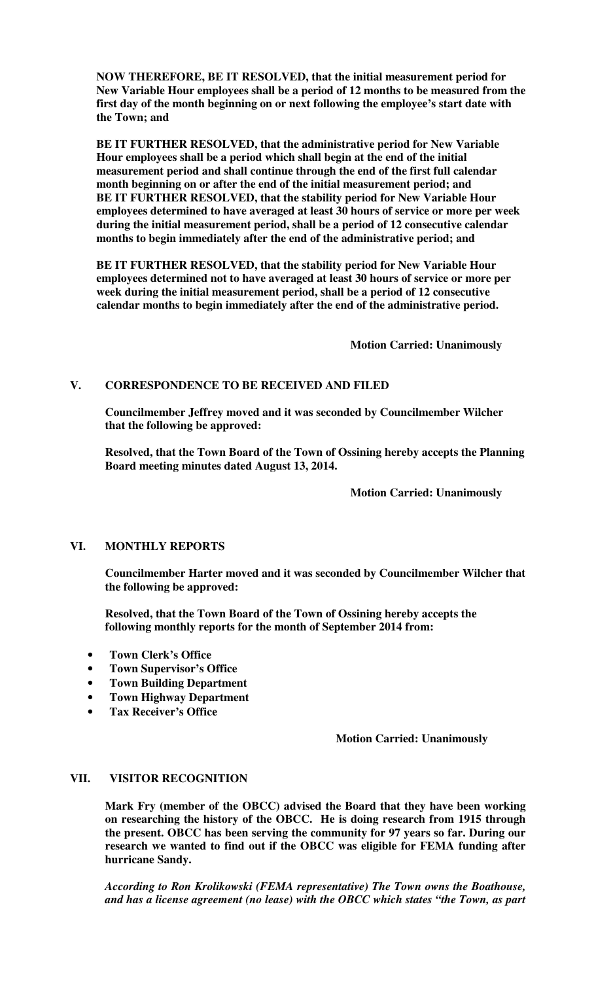**NOW THEREFORE, BE IT RESOLVED, that the initial measurement period for New Variable Hour employees shall be a period of 12 months to be measured from the first day of the month beginning on or next following the employee's start date with the Town; and** 

**BE IT FURTHER RESOLVED, that the administrative period for New Variable Hour employees shall be a period which shall begin at the end of the initial measurement period and shall continue through the end of the first full calendar month beginning on or after the end of the initial measurement period; and BE IT FURTHER RESOLVED, that the stability period for New Variable Hour employees determined to have averaged at least 30 hours of service or more per week during the initial measurement period, shall be a period of 12 consecutive calendar months to begin immediately after the end of the administrative period; and** 

**BE IT FURTHER RESOLVED, that the stability period for New Variable Hour employees determined not to have averaged at least 30 hours of service or more per week during the initial measurement period, shall be a period of 12 consecutive calendar months to begin immediately after the end of the administrative period.**

 **Motion Carried: Unanimously**

# **V. CORRESPONDENCE TO BE RECEIVED AND FILED**

**Councilmember Jeffrey moved and it was seconded by Councilmember Wilcher that the following be approved:** 

**Resolved, that the Town Board of the Town of Ossining hereby accepts the Planning Board meeting minutes dated August 13, 2014.** 

 **Motion Carried: Unanimously**

# **VI. MONTHLY REPORTS**

**Councilmember Harter moved and it was seconded by Councilmember Wilcher that the following be approved:** 

**Resolved, that the Town Board of the Town of Ossining hereby accepts the following monthly reports for the month of September 2014 from:** 

- **Town Clerk's Office**
- **Town Supervisor's Office**
- **Town Building Department**
- **Town Highway Department**
- **Tax Receiver's Office**

 **Motion Carried: Unanimously**

## **VII. VISITOR RECOGNITION**

**Mark Fry (member of the OBCC) advised the Board that they have been working on researching the history of the OBCC. He is doing research from 1915 through the present. OBCC has been serving the community for 97 years so far. During our research we wanted to find out if the OBCC was eligible for FEMA funding after hurricane Sandy.** 

*According to Ron Krolikowski (FEMA representative) The Town owns the Boathouse, and has a license agreement (no lease) with the OBCC which states "the Town, as part*